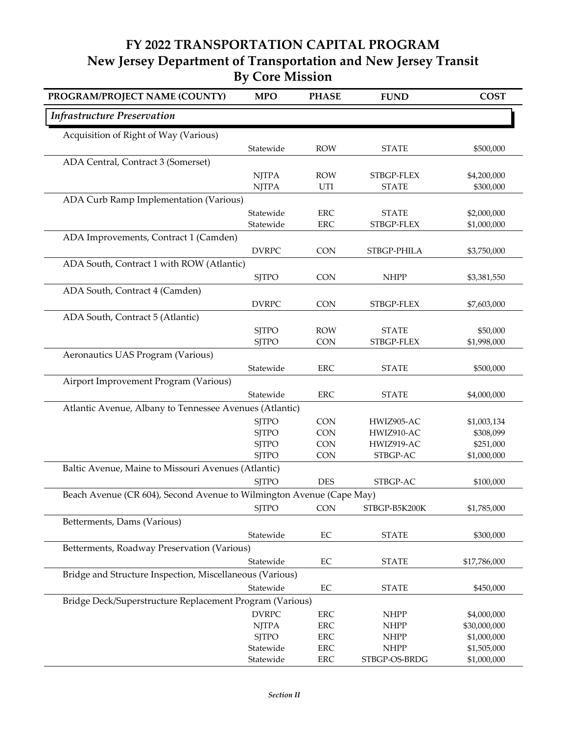## **FY 2022 TRANSPORTATION CAPITAL PROGRAM New Jersey Department of Transportation and New Jersey Transit By Core Mission**

| PROGRAM/PROJECT NAME (COUNTY)                                        | <b>MPO</b>                   | <b>PHASE</b>             | <b>FUND</b>              | <b>COST</b>            |
|----------------------------------------------------------------------|------------------------------|--------------------------|--------------------------|------------------------|
| <b>Infrastructure Preservation</b>                                   |                              |                          |                          |                        |
| Acquisition of Right of Way (Various)                                |                              |                          |                          |                        |
|                                                                      | Statewide                    | <b>ROW</b>               | <b>STATE</b>             | \$500,000              |
| ADA Central, Contract 3 (Somerset)                                   |                              |                          |                          |                        |
|                                                                      | <b>NJTPA</b>                 | <b>ROW</b>               | STBGP-FLEX               | \$4,200,000            |
|                                                                      | <b>NJTPA</b>                 | UTI                      | <b>STATE</b>             | \$300,000              |
| ADA Curb Ramp Implementation (Various)                               |                              |                          |                          |                        |
|                                                                      | Statewide                    | <b>ERC</b>               | <b>STATE</b>             | \$2,000,000            |
|                                                                      | Statewide                    | <b>ERC</b>               | STBGP-FLEX               | \$1,000,000            |
| ADA Improvements, Contract 1 (Camden)                                |                              |                          |                          |                        |
|                                                                      | <b>DVRPC</b>                 | <b>CON</b>               | STBGP-PHILA              | \$3,750,000            |
| ADA South, Contract 1 with ROW (Atlantic)                            |                              |                          |                          |                        |
|                                                                      | <b>SJTPO</b>                 | <b>CON</b>               | <b>NHPP</b>              | \$3,381,550            |
| ADA South, Contract 4 (Camden)                                       |                              |                          |                          |                        |
|                                                                      | <b>DVRPC</b>                 | <b>CON</b>               | STBGP-FLEX               | \$7,603,000            |
| ADA South, Contract 5 (Atlantic)                                     |                              |                          |                          |                        |
|                                                                      | <b>SJTPO</b>                 | <b>ROW</b>               | <b>STATE</b>             | \$50,000               |
|                                                                      | <b>SJTPO</b>                 | <b>CON</b>               | STBGP-FLEX               | \$1,998,000            |
| Aeronautics UAS Program (Various)                                    |                              |                          |                          |                        |
|                                                                      | Statewide                    | <b>ERC</b>               | <b>STATE</b>             | \$500,000              |
| Airport Improvement Program (Various)                                |                              |                          |                          |                        |
|                                                                      | Statewide                    | <b>ERC</b>               | <b>STATE</b>             | \$4,000,000            |
| Atlantic Avenue, Albany to Tennessee Avenues (Atlantic)              |                              |                          |                          |                        |
|                                                                      | <b>SJTPO</b><br><b>SJTPO</b> | <b>CON</b><br><b>CON</b> | HWIZ905-AC<br>HWIZ910-AC | \$1,003,134            |
|                                                                      | <b>SJTPO</b>                 | <b>CON</b>               | HWIZ919-AC               | \$308,099<br>\$251,000 |
|                                                                      | <b>SJTPO</b>                 | <b>CON</b>               | STBGP-AC                 | \$1,000,000            |
| Baltic Avenue, Maine to Missouri Avenues (Atlantic)                  |                              |                          |                          |                        |
|                                                                      | <b>SJTPO</b>                 | <b>DES</b>               | STBGP-AC                 | \$100,000              |
| Beach Avenue (CR 604), Second Avenue to Wilmington Avenue (Cape May) |                              |                          |                          |                        |
|                                                                      | <b>SJTPO</b>                 | <b>CON</b>               | STBGP-B5K200K            | \$1,785,000            |
| Betterments, Dams (Various)                                          |                              |                          |                          |                        |
|                                                                      | Statewide                    | $\rm EC$                 | <b>STATE</b>             | \$300,000              |
| Betterments, Roadway Preservation (Various)                          |                              |                          |                          |                        |
|                                                                      | Statewide                    | $\rm EC$                 | <b>STATE</b>             | \$17,786,000           |
| Bridge and Structure Inspection, Miscellaneous (Various)             |                              |                          |                          |                        |
|                                                                      | Statewide                    | $\rm EC$                 | <b>STATE</b>             | \$450,000              |
| Bridge Deck/Superstructure Replacement Program (Various)             |                              |                          |                          |                        |
|                                                                      | <b>DVRPC</b>                 | ERC                      | <b>NHPP</b>              | \$4,000,000            |
|                                                                      | <b>NJTPA</b>                 | ERC                      | <b>NHPP</b>              | \$30,000,000           |
|                                                                      | <b>SJTPO</b>                 | ERC                      | <b>NHPP</b>              | \$1,000,000            |
|                                                                      | Statewide                    | ERC                      | <b>NHPP</b>              | \$1,505,000            |
|                                                                      | Statewide                    | ERC                      | STBGP-OS-BRDG            | \$1,000,000            |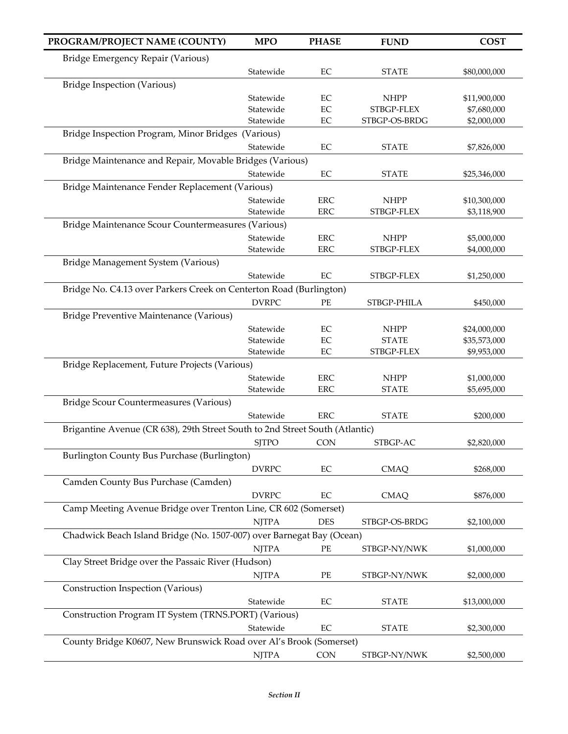| PROGRAM/PROJECT NAME (COUNTY)                                                | <b>MPO</b>   | <b>PHASE</b> | <b>FUND</b>   | <b>COST</b>  |
|------------------------------------------------------------------------------|--------------|--------------|---------------|--------------|
| Bridge Emergency Repair (Various)                                            |              |              |               |              |
|                                                                              | Statewide    | $\rm EC$     | <b>STATE</b>  | \$80,000,000 |
| <b>Bridge Inspection (Various)</b>                                           |              |              |               |              |
|                                                                              | Statewide    | EC           | <b>NHPP</b>   | \$11,900,000 |
|                                                                              | Statewide    | $\rm EC$     | STBGP-FLEX    | \$7,680,000  |
|                                                                              | Statewide    | EC           | STBGP-OS-BRDG | \$2,000,000  |
| Bridge Inspection Program, Minor Bridges (Various)                           |              |              |               |              |
|                                                                              | Statewide    | EC           | <b>STATE</b>  | \$7,826,000  |
| Bridge Maintenance and Repair, Movable Bridges (Various)                     |              |              |               |              |
|                                                                              | Statewide    | EC           | <b>STATE</b>  | \$25,346,000 |
| Bridge Maintenance Fender Replacement (Various)                              |              |              |               |              |
|                                                                              | Statewide    | <b>ERC</b>   | <b>NHPP</b>   | \$10,300,000 |
|                                                                              | Statewide    | <b>ERC</b>   | STBGP-FLEX    | \$3,118,900  |
| Bridge Maintenance Scour Countermeasures (Various)                           |              |              |               |              |
|                                                                              | Statewide    | <b>ERC</b>   | <b>NHPP</b>   | \$5,000,000  |
|                                                                              | Statewide    | <b>ERC</b>   | STBGP-FLEX    | \$4,000,000  |
| Bridge Management System (Various)                                           |              |              |               |              |
|                                                                              | Statewide    | EC           | STBGP-FLEX    | \$1,250,000  |
| Bridge No. C4.13 over Parkers Creek on Centerton Road (Burlington)           |              |              |               |              |
|                                                                              | <b>DVRPC</b> | PE           | STBGP-PHILA   | \$450,000    |
| Bridge Preventive Maintenance (Various)                                      |              |              |               |              |
|                                                                              | Statewide    | EC           | <b>NHPP</b>   | \$24,000,000 |
|                                                                              | Statewide    | EC           | <b>STATE</b>  | \$35,573,000 |
|                                                                              | Statewide    | EC           | STBGP-FLEX    | \$9,953,000  |
| Bridge Replacement, Future Projects (Various)                                |              |              |               |              |
|                                                                              | Statewide    | <b>ERC</b>   | <b>NHPP</b>   | \$1,000,000  |
|                                                                              | Statewide    | <b>ERC</b>   | <b>STATE</b>  | \$5,695,000  |
| Bridge Scour Countermeasures (Various)                                       |              |              |               |              |
|                                                                              | Statewide    | <b>ERC</b>   | <b>STATE</b>  | \$200,000    |
| Brigantine Avenue (CR 638), 29th Street South to 2nd Street South (Atlantic) |              |              |               |              |
|                                                                              | <b>SJTPO</b> | <b>CON</b>   | STBGP-AC      | \$2,820,000  |
| Burlington County Bus Purchase (Burlington)                                  |              |              |               |              |
|                                                                              | <b>DVRPC</b> | EC           | <b>CMAQ</b>   | \$268,000    |
| Camden County Bus Purchase (Camden)                                          |              |              |               |              |
|                                                                              | <b>DVRPC</b> | EC           | <b>CMAQ</b>   | \$876,000    |
| Camp Meeting Avenue Bridge over Trenton Line, CR 602 (Somerset)              |              |              |               |              |
|                                                                              | <b>NJTPA</b> | <b>DES</b>   | STBGP-OS-BRDG | \$2,100,000  |
| Chadwick Beach Island Bridge (No. 1507-007) over Barnegat Bay (Ocean)        |              |              |               |              |
|                                                                              | <b>NJTPA</b> | PE           | STBGP-NY/NWK  | \$1,000,000  |
| Clay Street Bridge over the Passaic River (Hudson)                           |              |              |               |              |
|                                                                              |              | PE           |               |              |
|                                                                              | <b>NJTPA</b> |              | STBGP-NY/NWK  | \$2,000,000  |
| Construction Inspection (Various)                                            |              |              |               |              |
|                                                                              | Statewide    | EC           | <b>STATE</b>  | \$13,000,000 |
| Construction Program IT System (TRNS.PORT) (Various)                         |              |              |               |              |
|                                                                              | Statewide    | $\rm EC$     | <b>STATE</b>  | \$2,300,000  |
| County Bridge K0607, New Brunswick Road over Al's Brook (Somerset)           |              |              |               |              |
|                                                                              | <b>NJTPA</b> | <b>CON</b>   | STBGP-NY/NWK  | \$2,500,000  |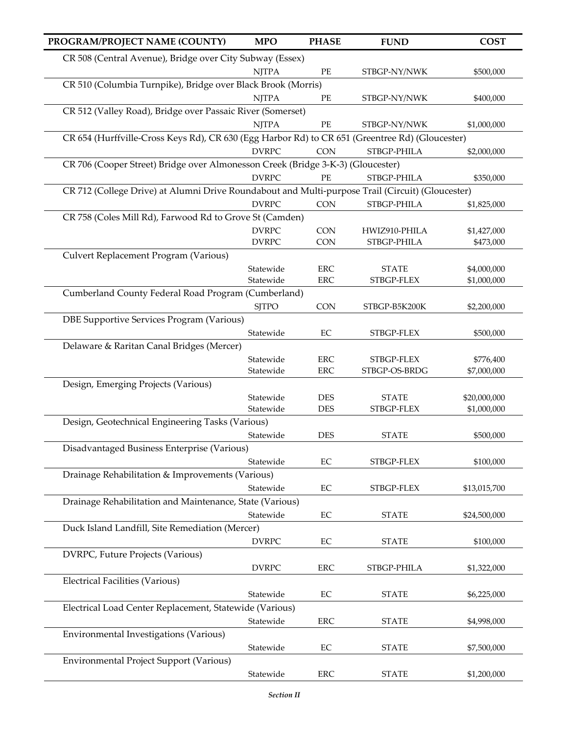| PROGRAM/PROJECT NAME (COUNTY)                                                                    | <b>MPO</b>   | <b>PHASE</b> | <b>FUND</b>   | <b>COST</b>  |
|--------------------------------------------------------------------------------------------------|--------------|--------------|---------------|--------------|
| CR 508 (Central Avenue), Bridge over City Subway (Essex)                                         |              |              |               |              |
|                                                                                                  | <b>NJTPA</b> | $\rm PE$     | STBGP-NY/NWK  | \$500,000    |
| CR 510 (Columbia Turnpike), Bridge over Black Brook (Morris)                                     |              |              |               |              |
|                                                                                                  | <b>NJTPA</b> | PE           | STBGP-NY/NWK  | \$400,000    |
| CR 512 (Valley Road), Bridge over Passaic River (Somerset)                                       |              |              |               |              |
|                                                                                                  | <b>NJTPA</b> | PE           | STBGP-NY/NWK  | \$1,000,000  |
| CR 654 (Hurffville-Cross Keys Rd), CR 630 (Egg Harbor Rd) to CR 651 (Greentree Rd) (Gloucester)  |              |              |               |              |
|                                                                                                  | <b>DVRPC</b> | <b>CON</b>   | STBGP-PHILA   | \$2,000,000  |
| CR 706 (Cooper Street) Bridge over Almonesson Creek (Bridge 3-K-3) (Gloucester)                  |              |              |               |              |
|                                                                                                  | <b>DVRPC</b> | $\rm PE$     | STBGP-PHILA   | \$350,000    |
| CR 712 (College Drive) at Alumni Drive Roundabout and Multi-purpose Trail (Circuit) (Gloucester) |              |              |               |              |
|                                                                                                  | <b>DVRPC</b> | <b>CON</b>   | STBGP-PHILA   | \$1,825,000  |
| CR 758 (Coles Mill Rd), Farwood Rd to Grove St (Camden)                                          |              |              |               |              |
|                                                                                                  | <b>DVRPC</b> | <b>CON</b>   | HWIZ910-PHILA | \$1,427,000  |
|                                                                                                  | <b>DVRPC</b> | <b>CON</b>   | STBGP-PHILA   | \$473,000    |
| Culvert Replacement Program (Various)                                                            |              |              |               |              |
|                                                                                                  | Statewide    | <b>ERC</b>   | <b>STATE</b>  | \$4,000,000  |
|                                                                                                  | Statewide    | <b>ERC</b>   | STBGP-FLEX    | \$1,000,000  |
| Cumberland County Federal Road Program (Cumberland)                                              |              |              |               |              |
|                                                                                                  | <b>SJTPO</b> | <b>CON</b>   | STBGP-B5K200K | \$2,200,000  |
| DBE Supportive Services Program (Various)                                                        |              |              |               |              |
|                                                                                                  | Statewide    | $\rm EC$     | STBGP-FLEX    | \$500,000    |
| Delaware & Raritan Canal Bridges (Mercer)                                                        |              |              |               |              |
|                                                                                                  | Statewide    | <b>ERC</b>   | STBGP-FLEX    | \$776,400    |
|                                                                                                  | Statewide    | <b>ERC</b>   | STBGP-OS-BRDG | \$7,000,000  |
| Design, Emerging Projects (Various)                                                              |              |              |               |              |
|                                                                                                  | Statewide    | <b>DES</b>   | <b>STATE</b>  | \$20,000,000 |
|                                                                                                  | Statewide    | <b>DES</b>   | STBGP-FLEX    | \$1,000,000  |
| Design, Geotechnical Engineering Tasks (Various)                                                 |              |              |               |              |
|                                                                                                  | Statewide    | <b>DES</b>   | <b>STATE</b>  | \$500,000    |
| Disadvantaged Business Enterprise (Various)                                                      |              |              |               |              |
|                                                                                                  | Statewide    | $\rm EC$     | STBGP-FLEX    | \$100,000    |
| Drainage Rehabilitation & Improvements (Various)                                                 |              |              |               |              |
|                                                                                                  | Statewide    | $\rm EC$     | STBGP-FLEX    | \$13,015,700 |
| Drainage Rehabilitation and Maintenance, State (Various)                                         |              |              |               |              |
|                                                                                                  | Statewide    | $\rm EC$     | <b>STATE</b>  | \$24,500,000 |
| Duck Island Landfill, Site Remediation (Mercer)                                                  |              |              |               |              |
|                                                                                                  | <b>DVRPC</b> | $\rm EC$     | <b>STATE</b>  | \$100,000    |
| DVRPC, Future Projects (Various)                                                                 |              |              |               |              |
|                                                                                                  | <b>DVRPC</b> | ERC          | STBGP-PHILA   | \$1,322,000  |
| <b>Electrical Facilities (Various)</b>                                                           |              |              |               |              |
|                                                                                                  | Statewide    | $\rm EC$     | <b>STATE</b>  | \$6,225,000  |
| Electrical Load Center Replacement, Statewide (Various)                                          |              |              |               |              |
|                                                                                                  | Statewide    | <b>ERC</b>   | <b>STATE</b>  | \$4,998,000  |
| Environmental Investigations (Various)                                                           |              |              |               |              |
|                                                                                                  | Statewide    | EC           | <b>STATE</b>  | \$7,500,000  |
| Environmental Project Support (Various)                                                          |              |              |               |              |
|                                                                                                  | Statewide    | ERC          | <b>STATE</b>  | \$1,200,000  |
|                                                                                                  |              |              |               |              |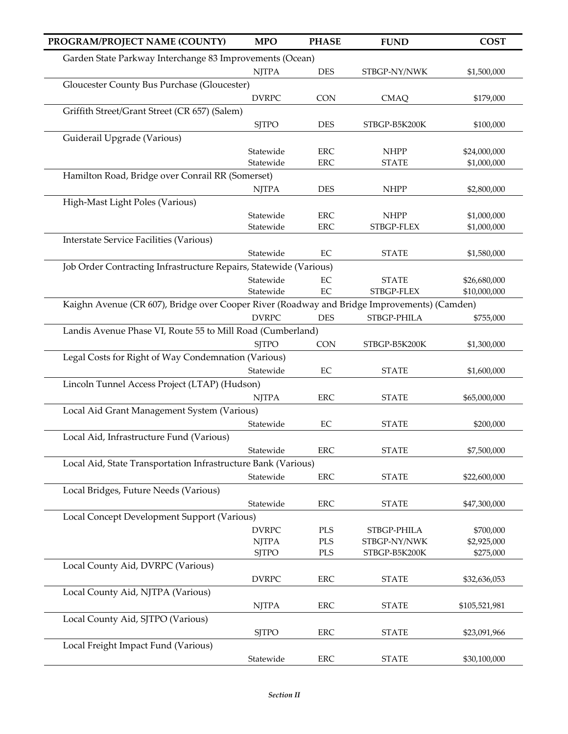| PROGRAM/PROJECT NAME (COUNTY)                                                               | <b>MPO</b>   | <b>PHASE</b> | <b>FUND</b>   | <b>COST</b>   |
|---------------------------------------------------------------------------------------------|--------------|--------------|---------------|---------------|
| Garden State Parkway Interchange 83 Improvements (Ocean)                                    |              |              |               |               |
|                                                                                             | <b>NJTPA</b> | <b>DES</b>   | STBGP-NY/NWK  | \$1,500,000   |
| Gloucester County Bus Purchase (Gloucester)                                                 |              |              |               |               |
|                                                                                             | <b>DVRPC</b> | <b>CON</b>   | <b>CMAQ</b>   | \$179,000     |
| Griffith Street/Grant Street (CR 657) (Salem)                                               |              |              |               |               |
|                                                                                             | <b>SJTPO</b> | <b>DES</b>   | STBGP-B5K200K | \$100,000     |
| Guiderail Upgrade (Various)                                                                 |              |              |               |               |
|                                                                                             | Statewide    | <b>ERC</b>   | <b>NHPP</b>   | \$24,000,000  |
|                                                                                             | Statewide    | <b>ERC</b>   | <b>STATE</b>  | \$1,000,000   |
| Hamilton Road, Bridge over Conrail RR (Somerset)                                            |              |              |               |               |
| High-Mast Light Poles (Various)                                                             | <b>NJTPA</b> | <b>DES</b>   | <b>NHPP</b>   | \$2,800,000   |
|                                                                                             | Statewide    | <b>ERC</b>   | <b>NHPP</b>   | \$1,000,000   |
|                                                                                             | Statewide    | <b>ERC</b>   | STBGP-FLEX    | \$1,000,000   |
| <b>Interstate Service Facilities (Various)</b>                                              |              |              |               |               |
|                                                                                             | Statewide    | EC           | <b>STATE</b>  | \$1,580,000   |
| Job Order Contracting Infrastructure Repairs, Statewide (Various)                           |              |              |               |               |
|                                                                                             | Statewide    | $\rm EC$     | <b>STATE</b>  | \$26,680,000  |
|                                                                                             | Statewide    | $\rm EC$     | STBGP-FLEX    | \$10,000,000  |
| Kaighn Avenue (CR 607), Bridge over Cooper River (Roadway and Bridge Improvements) (Camden) |              |              |               |               |
|                                                                                             | <b>DVRPC</b> | <b>DES</b>   | STBGP-PHILA   | \$755,000     |
| Landis Avenue Phase VI, Route 55 to Mill Road (Cumberland)                                  |              |              |               |               |
|                                                                                             | <b>SJTPO</b> | <b>CON</b>   | STBGP-B5K200K | \$1,300,000   |
| Legal Costs for Right of Way Condemnation (Various)                                         |              |              |               |               |
|                                                                                             | Statewide    | $\rm EC$     | <b>STATE</b>  | \$1,600,000   |
| Lincoln Tunnel Access Project (LTAP) (Hudson)                                               |              | <b>ERC</b>   |               |               |
| Local Aid Grant Management System (Various)                                                 | <b>NJTPA</b> |              | <b>STATE</b>  | \$65,000,000  |
|                                                                                             | Statewide    | EC           | <b>STATE</b>  | \$200,000     |
| Local Aid, Infrastructure Fund (Various)                                                    |              |              |               |               |
|                                                                                             | Statewide    | <b>ERC</b>   | <b>STATE</b>  | \$7,500,000   |
| Local Aid, State Transportation Infrastructure Bank (Various)                               |              |              |               |               |
|                                                                                             | Statewide    | ERC          | <b>STATE</b>  | \$22,600,000  |
| Local Bridges, Future Needs (Various)                                                       |              |              |               |               |
|                                                                                             | Statewide    | ERC          | <b>STATE</b>  | \$47,300,000  |
| Local Concept Development Support (Various)                                                 |              |              |               |               |
|                                                                                             | <b>DVRPC</b> | PLS          | STBGP-PHILA   | \$700,000     |
|                                                                                             | <b>NJTPA</b> | <b>PLS</b>   | STBGP-NY/NWK  | \$2,925,000   |
|                                                                                             | <b>SJTPO</b> | PLS          | STBGP-B5K200K | \$275,000     |
| Local County Aid, DVRPC (Various)                                                           |              |              |               |               |
|                                                                                             | <b>DVRPC</b> | <b>ERC</b>   | <b>STATE</b>  | \$32,636,053  |
| Local County Aid, NJTPA (Various)                                                           | <b>NJTPA</b> | ERC          |               |               |
| Local County Aid, SJTPO (Various)                                                           |              |              | <b>STATE</b>  | \$105,521,981 |
|                                                                                             | <b>SJTPO</b> | <b>ERC</b>   | <b>STATE</b>  | \$23,091,966  |
| Local Freight Impact Fund (Various)                                                         |              |              |               |               |
|                                                                                             | Statewide    | ERC          | <b>STATE</b>  | \$30,100,000  |
|                                                                                             |              |              |               |               |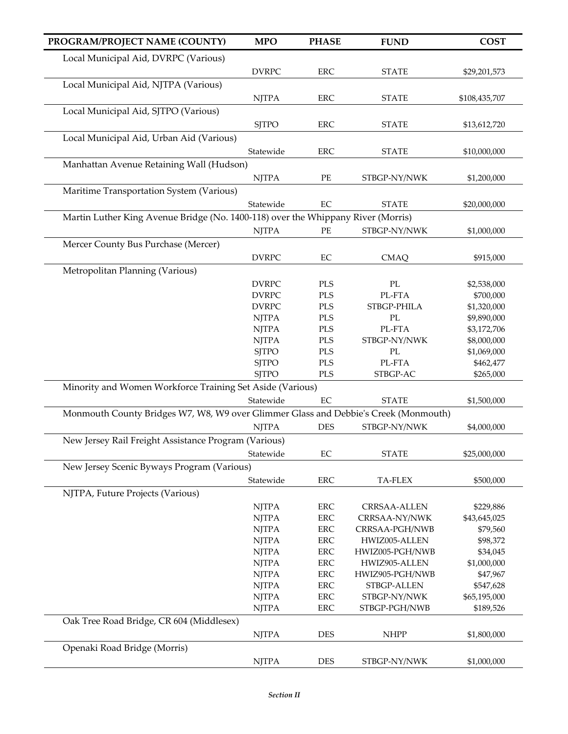| PROGRAM/PROJECT NAME (COUNTY)                                                       | <b>MPO</b>   | <b>PHASE</b> | <b>FUND</b>              | <b>COST</b>   |
|-------------------------------------------------------------------------------------|--------------|--------------|--------------------------|---------------|
| Local Municipal Aid, DVRPC (Various)                                                |              |              |                          |               |
|                                                                                     | <b>DVRPC</b> | <b>ERC</b>   | <b>STATE</b>             | \$29,201,573  |
| Local Municipal Aid, NJTPA (Various)                                                |              |              |                          |               |
|                                                                                     | <b>NJTPA</b> | <b>ERC</b>   | <b>STATE</b>             | \$108,435,707 |
| Local Municipal Aid, SJTPO (Various)                                                |              |              |                          |               |
|                                                                                     | <b>SJTPO</b> | ERC          | <b>STATE</b>             | \$13,612,720  |
| Local Municipal Aid, Urban Aid (Various)                                            |              |              |                          |               |
|                                                                                     | Statewide    | <b>ERC</b>   | <b>STATE</b>             | \$10,000,000  |
| Manhattan Avenue Retaining Wall (Hudson)                                            |              |              |                          |               |
|                                                                                     | <b>NJTPA</b> | PE           | STBGP-NY/NWK             | \$1,200,000   |
| Maritime Transportation System (Various)                                            |              |              |                          |               |
|                                                                                     | Statewide    | $\rm EC$     | <b>STATE</b>             | \$20,000,000  |
| Martin Luther King Avenue Bridge (No. 1400-118) over the Whippany River (Morris)    |              |              |                          |               |
|                                                                                     | <b>NJTPA</b> | PE           | STBGP-NY/NWK             | \$1,000,000   |
| Mercer County Bus Purchase (Mercer)                                                 |              |              |                          |               |
|                                                                                     | <b>DVRPC</b> | $\rm EC$     | <b>CMAQ</b>              | \$915,000     |
| Metropolitan Planning (Various)                                                     |              |              |                          |               |
|                                                                                     |              |              |                          |               |
|                                                                                     | <b>DVRPC</b> | PLS          | $\rm PL$                 | \$2,538,000   |
|                                                                                     | <b>DVRPC</b> | $\rm PLS$    | PL-FTA                   | \$700,000     |
|                                                                                     | <b>DVRPC</b> | $\rm PLS$    | STBGP-PHILA              | \$1,320,000   |
|                                                                                     | <b>NJTPA</b> | $\rm PLS$    | $\mathcal{P}\mathcal{L}$ | \$9,890,000   |
|                                                                                     | <b>NJTPA</b> | $\rm PLS$    | PL-FTA                   | \$3,172,706   |
|                                                                                     | <b>NJTPA</b> | $\rm PLS$    | STBGP-NY/NWK             | \$8,000,000   |
|                                                                                     | <b>SJTPO</b> | $\rm PLS$    | PL                       | \$1,069,000   |
|                                                                                     | <b>SJTPO</b> | <b>PLS</b>   | PL-FTA                   | \$462,477     |
|                                                                                     | <b>SJTPO</b> | $\rm PLS$    | STBGP-AC                 | \$265,000     |
| Minority and Women Workforce Training Set Aside (Various)                           |              |              |                          |               |
|                                                                                     | Statewide    | $\rm EC$     | <b>STATE</b>             | \$1,500,000   |
| Monmouth County Bridges W7, W8, W9 over Glimmer Glass and Debbie's Creek (Monmouth) |              |              |                          |               |
|                                                                                     | <b>NJTPA</b> | <b>DES</b>   | STBGP-NY/NWK             | \$4,000,000   |
| New Jersey Rail Freight Assistance Program (Various)                                |              |              |                          |               |
|                                                                                     | Statewide    | EC           | <b>STATE</b>             | \$25,000,000  |
| New Jersey Scenic Byways Program (Various)                                          |              |              |                          |               |
|                                                                                     | Statewide    | <b>ERC</b>   | TA-FLEX                  | \$500,000     |
| NJTPA, Future Projects (Various)                                                    |              |              |                          |               |
|                                                                                     |              |              |                          |               |
|                                                                                     | <b>NJTPA</b> | <b>ERC</b>   | <b>CRRSAA-ALLEN</b>      | \$229,886     |
|                                                                                     | <b>NJTPA</b> | <b>ERC</b>   | CRRSAA-NY/NWK            | \$43,645,025  |
|                                                                                     | <b>NJTPA</b> | ERC          | CRRSAA-PGH/NWB           | \$79,560      |
|                                                                                     | <b>NJTPA</b> | <b>ERC</b>   | HWIZ005-ALLEN            | \$98,372      |
|                                                                                     | <b>NJTPA</b> | <b>ERC</b>   | HWIZ005-PGH/NWB          | \$34,045      |
|                                                                                     | <b>NJTPA</b> | <b>ERC</b>   | HWIZ905-ALLEN            | \$1,000,000   |
|                                                                                     | <b>NJTPA</b> | <b>ERC</b>   | HWIZ905-PGH/NWB          | \$47,967      |
|                                                                                     | <b>NJTPA</b> | <b>ERC</b>   | STBGP-ALLEN              | \$547,628     |
|                                                                                     | <b>NJTPA</b> | ERC          | STBGP-NY/NWK             | \$65,195,000  |
|                                                                                     | <b>NJTPA</b> | <b>ERC</b>   | STBGP-PGH/NWB            | \$189,526     |
| Oak Tree Road Bridge, CR 604 (Middlesex)                                            |              |              |                          |               |
|                                                                                     | <b>NJTPA</b> | <b>DES</b>   | <b>NHPP</b>              | \$1,800,000   |
| Openaki Road Bridge (Morris)                                                        |              |              |                          |               |
|                                                                                     | <b>NJTPA</b> | <b>DES</b>   | STBGP-NY/NWK             | \$1,000,000   |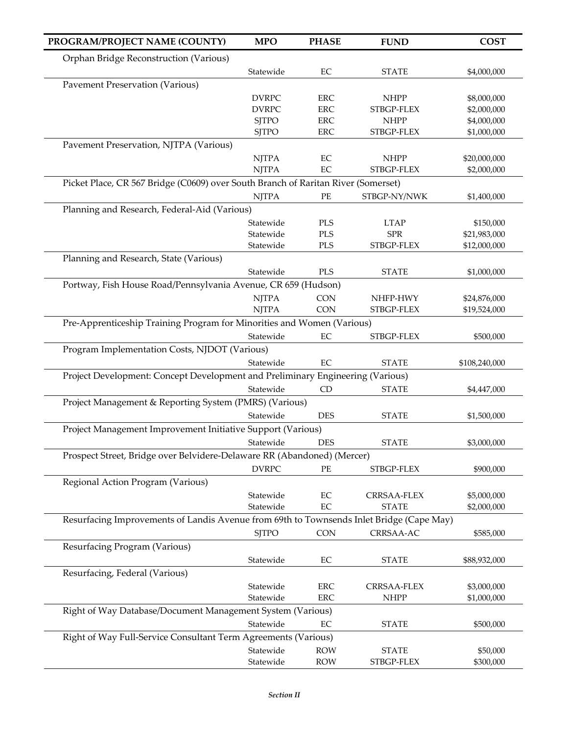| PROGRAM/PROJECT NAME (COUNTY)                                                            | <b>MPO</b>             | <b>PHASE</b>             | <b>FUND</b>                | <b>COST</b>                |
|------------------------------------------------------------------------------------------|------------------------|--------------------------|----------------------------|----------------------------|
| Orphan Bridge Reconstruction (Various)                                                   |                        |                          |                            |                            |
|                                                                                          | Statewide              | $\rm EC$                 | <b>STATE</b>               | \$4,000,000                |
| <b>Pavement Preservation (Various)</b>                                                   |                        |                          |                            |                            |
|                                                                                          | <b>DVRPC</b>           | <b>ERC</b>               | <b>NHPP</b>                | \$8,000,000                |
|                                                                                          | <b>DVRPC</b>           | <b>ERC</b>               | STBGP-FLEX                 | \$2,000,000                |
|                                                                                          | <b>SJTPO</b>           | <b>ERC</b>               | <b>NHPP</b>                | \$4,000,000                |
|                                                                                          | <b>SJTPO</b>           | <b>ERC</b>               | STBGP-FLEX                 | \$1,000,000                |
| Pavement Preservation, NJTPA (Various)                                                   |                        |                          |                            |                            |
|                                                                                          | <b>NJTPA</b>           | EC                       | <b>NHPP</b>                | \$20,000,000               |
|                                                                                          | <b>NJTPA</b>           | EC                       | STBGP-FLEX                 | \$2,000,000                |
| Picket Place, CR 567 Bridge (C0609) over South Branch of Raritan River (Somerset)        |                        |                          |                            |                            |
|                                                                                          | <b>NJTPA</b>           | PE                       | STBGP-NY/NWK               | \$1,400,000                |
| Planning and Research, Federal-Aid (Various)                                             |                        |                          |                            |                            |
|                                                                                          | Statewide              | PLS                      | <b>LTAP</b>                | \$150,000                  |
|                                                                                          | Statewide              | <b>PLS</b>               | <b>SPR</b>                 | \$21,983,000               |
|                                                                                          | Statewide              | PLS                      | STBGP-FLEX                 | \$12,000,000               |
| Planning and Research, State (Various)                                                   |                        |                          |                            |                            |
|                                                                                          | Statewide              | PLS                      | <b>STATE</b>               | \$1,000,000                |
| Portway, Fish House Road/Pennsylvania Avenue, CR 659 (Hudson)                            |                        |                          |                            |                            |
|                                                                                          | <b>NJTPA</b>           | <b>CON</b>               | NHFP-HWY                   | \$24,876,000               |
|                                                                                          | <b>NJTPA</b>           | <b>CON</b>               | STBGP-FLEX                 | \$19,524,000               |
| Pre-Apprenticeship Training Program for Minorities and Women (Various)                   |                        |                          |                            |                            |
|                                                                                          | Statewide              | $\rm EC$                 | STBGP-FLEX                 | \$500,000                  |
| Program Implementation Costs, NJDOT (Various)                                            |                        |                          |                            |                            |
|                                                                                          | Statewide              | EC                       | <b>STATE</b>               | \$108,240,000              |
| Project Development: Concept Development and Preliminary Engineering (Various)           |                        |                          |                            |                            |
|                                                                                          | Statewide              | CD                       | <b>STATE</b>               | \$4,447,000                |
| Project Management & Reporting System (PMRS) (Various)                                   |                        |                          |                            |                            |
|                                                                                          | Statewide              | <b>DES</b>               | <b>STATE</b>               | \$1,500,000                |
| Project Management Improvement Initiative Support (Various)                              |                        |                          |                            |                            |
|                                                                                          | Statewide              | <b>DES</b>               | <b>STATE</b>               | \$3,000,000                |
| Prospect Street, Bridge over Belvidere-Delaware RR (Abandoned) (Mercer)                  |                        |                          |                            |                            |
|                                                                                          | <b>DVRPC</b>           | PE                       | STBGP-FLEX                 | \$900,000                  |
| Regional Action Program (Various)                                                        |                        |                          |                            |                            |
|                                                                                          | Statewide              | EC                       | <b>CRRSAA-FLEX</b>         | \$5,000,000                |
|                                                                                          | Statewide              | $\rm EC$                 | <b>STATE</b>               | \$2,000,000                |
| Resurfacing Improvements of Landis Avenue from 69th to Townsends Inlet Bridge (Cape May) |                        |                          |                            |                            |
|                                                                                          | <b>SJTPO</b>           | <b>CON</b>               | CRRSAA-AC                  | \$585,000                  |
| Resurfacing Program (Various)                                                            |                        |                          |                            |                            |
|                                                                                          | Statewide              | EC                       | <b>STATE</b>               | \$88,932,000               |
| Resurfacing, Federal (Various)                                                           |                        |                          |                            |                            |
|                                                                                          |                        |                          |                            |                            |
|                                                                                          | Statewide<br>Statewide | ERC<br><b>ERC</b>        | CRRSAA-FLEX<br><b>NHPP</b> | \$3,000,000<br>\$1,000,000 |
| Right of Way Database/Document Management System (Various)                               |                        |                          |                            |                            |
|                                                                                          | Statewide              | EC                       | <b>STATE</b>               | \$500,000                  |
|                                                                                          |                        |                          |                            |                            |
| Right of Way Full-Service Consultant Term Agreements (Various)                           |                        |                          |                            |                            |
|                                                                                          | Statewide<br>Statewide | <b>ROW</b><br><b>ROW</b> | <b>STATE</b><br>STBGP-FLEX | \$50,000                   |
|                                                                                          |                        |                          |                            | \$300,000                  |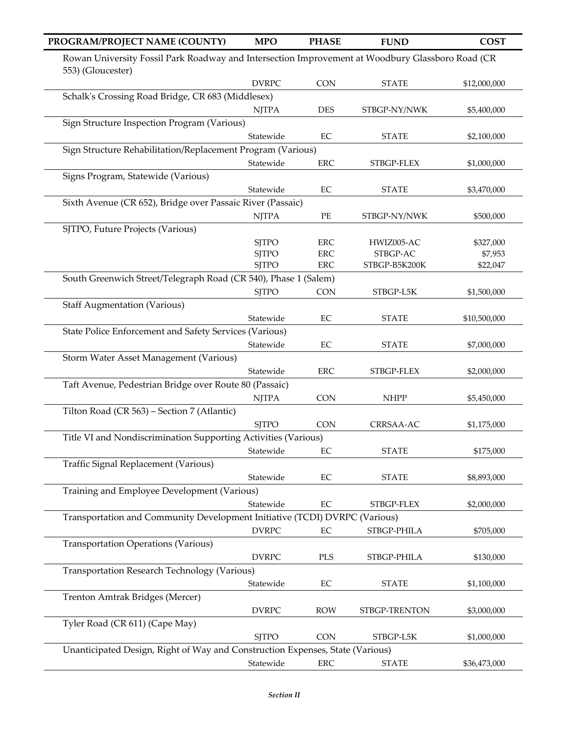| PROGRAM/PROJECT NAME (COUNTY)                                                                                         | <b>MPO</b>                   | <b>PHASE</b>             | <b>FUND</b>               | <b>COST</b>         |
|-----------------------------------------------------------------------------------------------------------------------|------------------------------|--------------------------|---------------------------|---------------------|
| Rowan University Fossil Park Roadway and Intersection Improvement at Woodbury Glassboro Road (CR<br>553) (Gloucester) |                              |                          |                           |                     |
|                                                                                                                       | <b>DVRPC</b>                 | CON                      | <b>STATE</b>              | \$12,000,000        |
| Schalk's Crossing Road Bridge, CR 683 (Middlesex)                                                                     |                              |                          |                           |                     |
|                                                                                                                       | <b>NJTPA</b>                 | <b>DES</b>               | STBGP-NY/NWK              | \$5,400,000         |
| Sign Structure Inspection Program (Various)                                                                           |                              |                          |                           |                     |
|                                                                                                                       | Statewide                    | EC                       | <b>STATE</b>              | \$2,100,000         |
| Sign Structure Rehabilitation/Replacement Program (Various)                                                           |                              |                          |                           |                     |
|                                                                                                                       | Statewide                    | <b>ERC</b>               | STBGP-FLEX                | \$1,000,000         |
| Signs Program, Statewide (Various)                                                                                    |                              |                          |                           |                     |
|                                                                                                                       | Statewide                    | $\rm EC$                 | <b>STATE</b>              | \$3,470,000         |
| Sixth Avenue (CR 652), Bridge over Passaic River (Passaic)                                                            |                              |                          |                           |                     |
|                                                                                                                       | <b>NJTPA</b>                 | $\rm PE$                 | STBGP-NY/NWK              | \$500,000           |
| SJTPO, Future Projects (Various)                                                                                      |                              |                          |                           |                     |
|                                                                                                                       | <b>SJTPO</b>                 | <b>ERC</b>               | HWIZ005-AC                | \$327,000           |
|                                                                                                                       | <b>SJTPO</b><br><b>SJTPO</b> | <b>ERC</b><br><b>ERC</b> | STBGP-AC<br>STBGP-B5K200K | \$7,953<br>\$22,047 |
| South Greenwich Street/Telegraph Road (CR 540), Phase 1 (Salem)                                                       |                              |                          |                           |                     |
|                                                                                                                       | <b>SJTPO</b>                 | <b>CON</b>               |                           |                     |
|                                                                                                                       |                              |                          | STBGP-L5K                 | \$1,500,000         |
| <b>Staff Augmentation (Various)</b>                                                                                   |                              |                          |                           |                     |
|                                                                                                                       | Statewide                    | $\rm EC$                 | <b>STATE</b>              | \$10,500,000        |
| State Police Enforcement and Safety Services (Various)                                                                |                              |                          |                           |                     |
|                                                                                                                       | Statewide                    | $\rm EC$                 | <b>STATE</b>              | \$7,000,000         |
| Storm Water Asset Management (Various)                                                                                |                              |                          |                           |                     |
|                                                                                                                       | Statewide                    | <b>ERC</b>               | STBGP-FLEX                | \$2,000,000         |
| Taft Avenue, Pedestrian Bridge over Route 80 (Passaic)                                                                |                              |                          |                           |                     |
|                                                                                                                       | <b>NJTPA</b>                 | <b>CON</b>               | <b>NHPP</b>               | \$5,450,000         |
| Tilton Road (CR 563) - Section 7 (Atlantic)                                                                           |                              |                          |                           |                     |
|                                                                                                                       | <b>SJTPO</b>                 | <b>CON</b>               | CRRSAA-AC                 | \$1,175,000         |
| Title VI and Nondiscrimination Supporting Activities (Various)                                                        |                              |                          |                           |                     |
|                                                                                                                       | Statewide                    | EC                       | <b>STATE</b>              | \$175,000           |
| Traffic Signal Replacement (Various)                                                                                  |                              |                          |                           |                     |
|                                                                                                                       | Statewide                    | EC                       | <b>STATE</b>              | \$8,893,000         |
| Training and Employee Development (Various)                                                                           |                              |                          |                           |                     |
|                                                                                                                       | Statewide                    | $\rm EC$                 | STBGP-FLEX                | \$2,000,000         |
| Transportation and Community Development Initiative (TCDI) DVRPC (Various)                                            |                              |                          |                           |                     |
|                                                                                                                       | <b>DVRPC</b>                 | $\rm EC$                 | STBGP-PHILA               | \$705,000           |
| <b>Transportation Operations (Various)</b>                                                                            |                              |                          |                           |                     |
|                                                                                                                       | <b>DVRPC</b>                 | <b>PLS</b>               | STBGP-PHILA               | \$130,000           |
| Transportation Research Technology (Various)                                                                          |                              |                          |                           |                     |
|                                                                                                                       | Statewide                    | $\rm EC$                 | <b>STATE</b>              | \$1,100,000         |
| Trenton Amtrak Bridges (Mercer)                                                                                       |                              |                          |                           |                     |
|                                                                                                                       | <b>DVRPC</b>                 | <b>ROW</b>               | STBGP-TRENTON             | \$3,000,000         |
| Tyler Road (CR 611) (Cape May)                                                                                        |                              |                          |                           |                     |
|                                                                                                                       | <b>SJTPO</b>                 | <b>CON</b>               | STBGP-L5K                 | \$1,000,000         |
| Unanticipated Design, Right of Way and Construction Expenses, State (Various)                                         |                              |                          |                           |                     |
|                                                                                                                       | Statewide                    | ERC                      | <b>STATE</b>              | \$36,473,000        |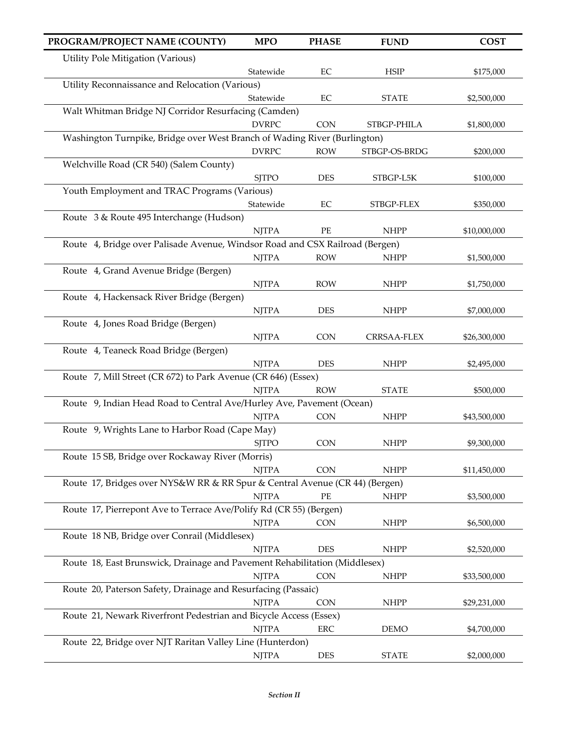| PROGRAM/PROJECT NAME (COUNTY)                                                | <b>MPO</b>   | <b>PHASE</b> | <b>FUND</b>   | <b>COST</b>  |
|------------------------------------------------------------------------------|--------------|--------------|---------------|--------------|
| Utility Pole Mitigation (Various)                                            |              |              |               |              |
|                                                                              | Statewide    | EC           | <b>HSIP</b>   | \$175,000    |
| Utility Reconnaissance and Relocation (Various)                              |              |              |               |              |
|                                                                              | Statewide    | EC           | <b>STATE</b>  | \$2,500,000  |
| Walt Whitman Bridge NJ Corridor Resurfacing (Camden)                         |              |              |               |              |
|                                                                              | <b>DVRPC</b> | <b>CON</b>   | STBGP-PHILA   | \$1,800,000  |
| Washington Turnpike, Bridge over West Branch of Wading River (Burlington)    |              |              |               |              |
|                                                                              | <b>DVRPC</b> | <b>ROW</b>   | STBGP-OS-BRDG | \$200,000    |
| Welchville Road (CR 540) (Salem County)                                      |              |              |               |              |
|                                                                              | <b>SJTPO</b> | <b>DES</b>   | STBGP-L5K     | \$100,000    |
| Youth Employment and TRAC Programs (Various)                                 | Statewide    | $\rm EC$     | STBGP-FLEX    | \$350,000    |
| Route 3 & Route 495 Interchange (Hudson)                                     |              |              |               |              |
|                                                                              | <b>NJTPA</b> | PE           | <b>NHPP</b>   | \$10,000,000 |
| Route 4, Bridge over Palisade Avenue, Windsor Road and CSX Railroad (Bergen) |              |              |               |              |
|                                                                              | <b>NJTPA</b> | <b>ROW</b>   | <b>NHPP</b>   | \$1,500,000  |
| Route 4, Grand Avenue Bridge (Bergen)                                        |              |              |               |              |
|                                                                              | <b>NJTPA</b> | <b>ROW</b>   | <b>NHPP</b>   | \$1,750,000  |
| Route 4, Hackensack River Bridge (Bergen)                                    |              |              |               |              |
|                                                                              | <b>NJTPA</b> | <b>DES</b>   | <b>NHPP</b>   | \$7,000,000  |
| Route 4, Jones Road Bridge (Bergen)                                          |              |              |               |              |
|                                                                              | <b>NJTPA</b> | <b>CON</b>   | CRRSAA-FLEX   | \$26,300,000 |
| Route 4, Teaneck Road Bridge (Bergen)                                        |              |              |               |              |
|                                                                              | <b>NJTPA</b> | <b>DES</b>   | <b>NHPP</b>   | \$2,495,000  |
| Route 7, Mill Street (CR 672) to Park Avenue (CR 646) (Essex)                |              |              |               |              |
|                                                                              | <b>NJTPA</b> | <b>ROW</b>   | <b>STATE</b>  | \$500,000    |
| Route 9, Indian Head Road to Central Ave/Hurley Ave, Pavement (Ocean)        | <b>NJTPA</b> | <b>CON</b>   | <b>NHPP</b>   |              |
| Route 9, Wrights Lane to Harbor Road (Cape May)                              |              |              |               | \$43,500,000 |
|                                                                              | <b>SJTPO</b> | <b>CON</b>   | <b>NHPP</b>   | \$9,300,000  |
| Route 15 SB, Bridge over Rockaway River (Morris)                             |              |              |               |              |
|                                                                              | <b>NJTPA</b> | <b>CON</b>   | <b>NHPP</b>   | \$11,450,000 |
| Route 17, Bridges over NYS&W RR & RR Spur & Central Avenue (CR 44) (Bergen)  |              |              |               |              |
|                                                                              | <b>NJTPA</b> | PE           | <b>NHPP</b>   | \$3,500,000  |
| Route 17, Pierrepont Ave to Terrace Ave/Polify Rd (CR 55) (Bergen)           |              |              |               |              |
|                                                                              | <b>NJTPA</b> | <b>CON</b>   | <b>NHPP</b>   | \$6,500,000  |
| Route 18 NB, Bridge over Conrail (Middlesex)                                 |              |              |               |              |
|                                                                              | <b>NJTPA</b> | <b>DES</b>   | <b>NHPP</b>   | \$2,520,000  |
| Route 18, East Brunswick, Drainage and Pavement Rehabilitation (Middlesex)   |              |              |               |              |
|                                                                              | <b>NJTPA</b> | <b>CON</b>   | <b>NHPP</b>   | \$33,500,000 |
| Route 20, Paterson Safety, Drainage and Resurfacing (Passaic)                |              |              |               |              |
| Route 21, Newark Riverfront Pedestrian and Bicycle Access (Essex)            | <b>NJTPA</b> | <b>CON</b>   | <b>NHPP</b>   | \$29,231,000 |
|                                                                              | <b>NJTPA</b> | ERC          | <b>DEMO</b>   | \$4,700,000  |
| Route 22, Bridge over NJT Raritan Valley Line (Hunterdon)                    |              |              |               |              |
|                                                                              | <b>NJTPA</b> | DES          | <b>STATE</b>  | \$2,000,000  |
|                                                                              |              |              |               |              |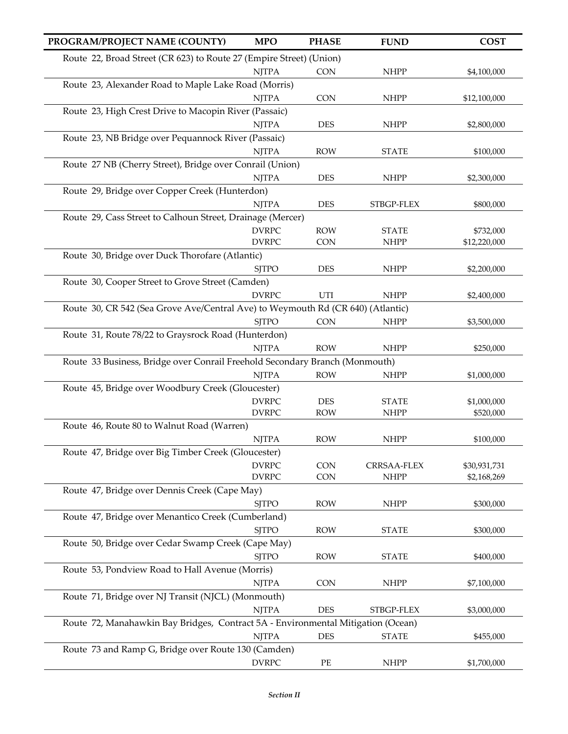| PROGRAM/PROJECT NAME (COUNTY)                                                    | <b>MPO</b>   | <b>PHASE</b> | <b>FUND</b>  | <b>COST</b>                 |
|----------------------------------------------------------------------------------|--------------|--------------|--------------|-----------------------------|
| Route 22, Broad Street (CR 623) to Route 27 (Empire Street) (Union)              |              |              |              |                             |
|                                                                                  | <b>NJTPA</b> | <b>CON</b>   | <b>NHPP</b>  | \$4,100,000                 |
| Route 23, Alexander Road to Maple Lake Road (Morris)                             |              |              |              |                             |
|                                                                                  | <b>NJTPA</b> | <b>CON</b>   | <b>NHPP</b>  | \$12,100,000                |
| Route 23, High Crest Drive to Macopin River (Passaic)                            |              |              |              |                             |
|                                                                                  | <b>NJTPA</b> | <b>DES</b>   | <b>NHPP</b>  | \$2,800,000                 |
| Route 23, NB Bridge over Pequannock River (Passaic)                              |              |              |              |                             |
|                                                                                  | <b>NJTPA</b> | <b>ROW</b>   | <b>STATE</b> | \$100,000                   |
| Route 27 NB (Cherry Street), Bridge over Conrail (Union)                         |              |              |              |                             |
|                                                                                  | <b>NJTPA</b> | <b>DES</b>   | <b>NHPP</b>  | \$2,300,000                 |
| Route 29, Bridge over Copper Creek (Hunterdon)                                   |              |              |              |                             |
|                                                                                  | <b>NJTPA</b> | <b>DES</b>   | STBGP-FLEX   | \$800,000                   |
| Route 29, Cass Street to Calhoun Street, Drainage (Mercer)                       |              |              |              |                             |
|                                                                                  | <b>DVRPC</b> | <b>ROW</b>   | <b>STATE</b> | \$732,000                   |
|                                                                                  | <b>DVRPC</b> | <b>CON</b>   | <b>NHPP</b>  | \$12,220,000                |
| Route 30, Bridge over Duck Thorofare (Atlantic)                                  |              |              |              |                             |
|                                                                                  | <b>SJTPO</b> | <b>DES</b>   | <b>NHPP</b>  | \$2,200,000                 |
| Route 30, Cooper Street to Grove Street (Camden)                                 |              |              |              |                             |
|                                                                                  | <b>DVRPC</b> | UTI          | <b>NHPP</b>  | \$2,400,000                 |
| Route 30, CR 542 (Sea Grove Ave/Central Ave) to Weymouth Rd (CR 640) (Atlantic)  |              |              |              |                             |
|                                                                                  | <b>SJTPO</b> | <b>CON</b>   | <b>NHPP</b>  | \$3,500,000                 |
| Route 31, Route 78/22 to Graysrock Road (Hunterdon)                              |              |              |              |                             |
|                                                                                  | <b>NJTPA</b> | <b>ROW</b>   | <b>NHPP</b>  | \$250,000                   |
| Route 33 Business, Bridge over Conrail Freehold Secondary Branch (Monmouth)      |              |              |              |                             |
|                                                                                  | <b>NJTPA</b> | <b>ROW</b>   | <b>NHPP</b>  | \$1,000,000                 |
| Route 45, Bridge over Woodbury Creek (Gloucester)                                |              |              |              |                             |
|                                                                                  | <b>DVRPC</b> | <b>DES</b>   | <b>STATE</b> | \$1,000,000                 |
|                                                                                  | <b>DVRPC</b> | <b>ROW</b>   | <b>NHPP</b>  | \$520,000                   |
| Route 46, Route 80 to Walnut Road (Warren)                                       |              |              |              |                             |
| Route 47, Bridge over Big Timber Creek (Gloucester)                              | <b>NJTPA</b> | <b>ROW</b>   | <b>NHPP</b>  | \$100,000                   |
|                                                                                  | <b>DVRPC</b> | <b>CON</b>   | CRRSAA-FLEX  |                             |
|                                                                                  | <b>DVRPC</b> | <b>CON</b>   | <b>NHPP</b>  | \$30,931,731<br>\$2,168,269 |
| Route 47, Bridge over Dennis Creek (Cape May)                                    |              |              |              |                             |
|                                                                                  | <b>SJTPO</b> | <b>ROW</b>   | <b>NHPP</b>  | \$300,000                   |
| Route 47, Bridge over Menantico Creek (Cumberland)                               |              |              |              |                             |
|                                                                                  | <b>SJTPO</b> | <b>ROW</b>   | <b>STATE</b> | \$300,000                   |
| Route 50, Bridge over Cedar Swamp Creek (Cape May)                               |              |              |              |                             |
|                                                                                  | <b>SJTPO</b> | <b>ROW</b>   | <b>STATE</b> | \$400,000                   |
| Route 53, Pondview Road to Hall Avenue (Morris)                                  |              |              |              |                             |
|                                                                                  | <b>NJTPA</b> | <b>CON</b>   | <b>NHPP</b>  | \$7,100,000                 |
| Route 71, Bridge over NJ Transit (NJCL) (Monmouth)                               |              |              |              |                             |
|                                                                                  | <b>NJTPA</b> | <b>DES</b>   | STBGP-FLEX   | \$3,000,000                 |
| Route 72, Manahawkin Bay Bridges, Contract 5A - Environmental Mitigation (Ocean) |              |              |              |                             |
|                                                                                  | <b>NJTPA</b> | <b>DES</b>   | <b>STATE</b> | \$455,000                   |
| Route 73 and Ramp G, Bridge over Route 130 (Camden)                              |              |              |              |                             |
|                                                                                  | <b>DVRPC</b> | PE           | <b>NHPP</b>  | \$1,700,000                 |
|                                                                                  |              |              |              |                             |